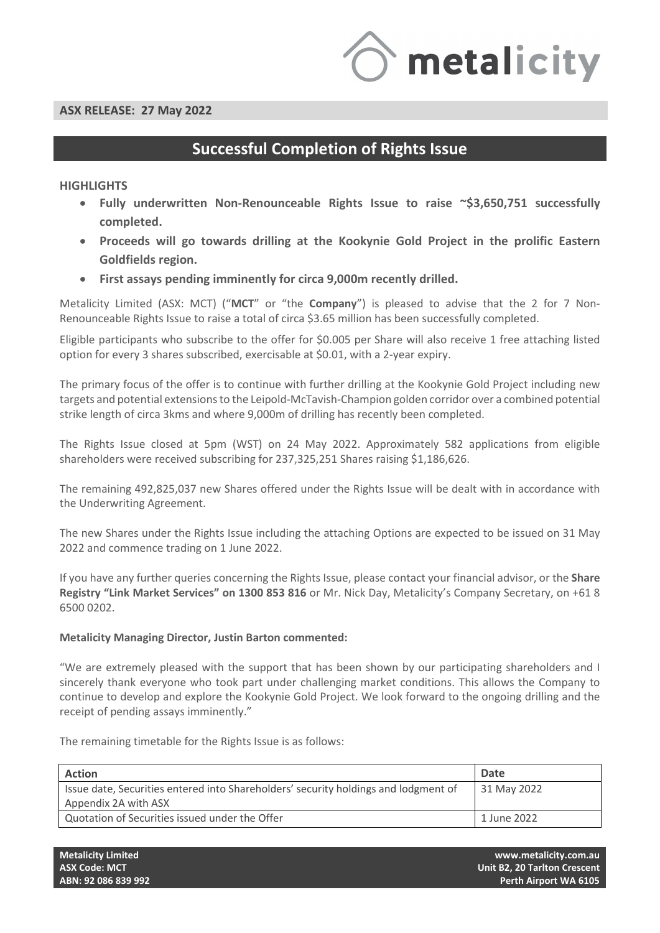

# **Successful Completion of Rights Issue**

## **HIGHLIGHTS**

- **Fully underwritten Non-Renounceable Rights Issue to raise ~\$3,650,751 successfully completed.**
- **Proceeds will go towards drilling at the Kookynie Gold Project in the prolific Eastern Goldfields region.**
- **First assays pending imminently for circa 9,000m recently drilled.**

Metalicity Limited (ASX: MCT) ("**MCT**" or "the **Company**") is pleased to advise that the 2 for 7 Non-Renounceable Rights Issue to raise a total of circa \$3.65 million has been successfully completed.

Eligible participants who subscribe to the offer for \$0.005 per Share will also receive 1 free attaching listed option for every 3 shares subscribed, exercisable at \$0.01, with a 2-year expiry.

The primary focus of the offer is to continue with further drilling at the Kookynie Gold Project including new targets and potential extensions to the Leipold-McTavish-Champion golden corridor over a combined potential strike length of circa 3kms and where 9,000m of drilling has recently been completed.

The Rights Issue closed at 5pm (WST) on 24 May 2022. Approximately 582 applications from eligible shareholders were received subscribing for 237,325,251 Shares raising \$1,186,626.

The remaining 492,825,037 new Shares offered under the Rights Issue will be dealt with in accordance with the Underwriting Agreement.

The new Shares under the Rights Issue including the attaching Options are expected to be issued on 31 May 2022 and commence trading on 1 June 2022.

If you have any further queries concerning the Rights Issue, please contact your financial advisor, or the **Share Registry "Link Market Services" on 1300 853 816** or Mr. Nick Day, Metalicity's Company Secretary, on +61 8 6500 0202.

### **Metalicity Managing Director, Justin Barton commented:**

"We are extremely pleased with the support that has been shown by our participating shareholders and I sincerely thank everyone who took part under challenging market conditions. This allows the Company to continue to develop and explore the Kookynie Gold Project. We look forward to the ongoing drilling and the receipt of pending assays imminently."

The remaining timetable for the Rights Issue is as follows:

| <b>Action</b>                                                                       | Date        |
|-------------------------------------------------------------------------------------|-------------|
| Issue date, Securities entered into Shareholders' security holdings and lodgment of | 31 May 2022 |
| Appendix 2A with ASX                                                                |             |
| Quotation of Securities issued under the Offer                                      | 1 June 2022 |